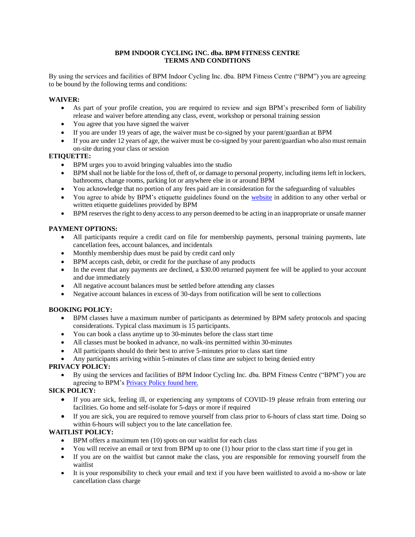### **BPM INDOOR CYCLING INC. dba. BPM FITNESS CENTRE TERMS AND CONDITIONS**

By using the services and facilities of BPM Indoor Cycling Inc. dba. BPM Fitness Centre ("BPM") you are agreeing to be bound by the following terms and conditions:

#### **WAIVER:**

- As part of your profile creation, you are required to review and sign BPM's prescribed form of liability release and waiver before attending any class, event, workshop or personal training session
- You agree that you have signed the waiver
- If you are under 19 years of age, the waiver must be co-signed by your parent/guardian at BPM
- If you are under 12 years of age, the waiver must be co-signed by your parent/guardian who also must remain on-site during your class or session

### **ETIQUETTE:**

- BPM urges you to avoid bringing valuables into the studio
- BPM shall not be liable for the loss of, theft of, or damage to personal property, including items left in lockers, bathrooms, change rooms, parking lot or anywhere else in or around BPM
- You acknowledge that no portion of any fees paid are in consideration for the safeguarding of valuables
- You agree to abide by BPM's etiquette guidelines found on the [website](http://www.bpmvictoria.com/etiquette) in addition to any other verbal or written etiquette guidelines provided by BPM
- BPM reserves the right to deny access to any person deemed to be acting in an inappropriate or unsafe manner

### **PAYMENT OPTIONS:**

- All participants require a credit card on file for membership payments, personal training payments, late cancellation fees, account balances, and incidentals
- Monthly membership dues must be paid by credit card only
- BPM accepts cash, debit, or credit for the purchase of any products
- In the event that any payments are declined, a \$30.00 returned payment fee will be applied to your account and due immediately
- All negative account balances must be settled before attending any classes
- Negative account balances in excess of 30-days from notification will be sent to collections

### **BOOKING POLICY:**

- BPM classes have a maximum number of participants as determined by BPM safety protocols and spacing considerations. Typical class maximum is 15 participants.
- You can book a class anytime up to 30-minutes before the class start time
- All classes must be booked in advance, no walk-ins permitted within 30-minutes
- All participants should do their best to arrive 5-minutes prior to class start time
- Any participants arriving within 5-minutes of class time are subject to being denied entry

### **PRIVACY POLICY:**

• By using the services and facilities of BPM Indoor Cycling Inc. dba. BPM Fitness Centre ("BPM") you are agreeing to BPM's [Privacy Policy found here.](http://www.bpmvictoria.com/wp-content/uploads/2019/07/PIPA-BPM-Indoor-Cycling-Inc.-dba.-BPM-Fitness-Centre.pdf)

### **SICK POLICY:**

- If you are sick, feeling ill, or experiencing any symptoms of COVID-19 please refrain from entering our facilities. Go home and self-isolate for 5-days or more if required
- If you are sick, you are required to remove yourself from class prior to 6-hours of class start time. Doing so within 6-hours will subject you to the late cancellation fee.

## **WAITLIST POLICY:**

- BPM offers a maximum ten (10) spots on our waitlist for each class
- You will receive an email or text from BPM up to one (1) hour prior to the class start time if you get in
- If you are on the waitlist but cannot make the class, you are responsible for removing yourself from the waitlist
- It is your responsibility to check your email and text if you have been waitlisted to avoid a no-show or late cancellation class charge